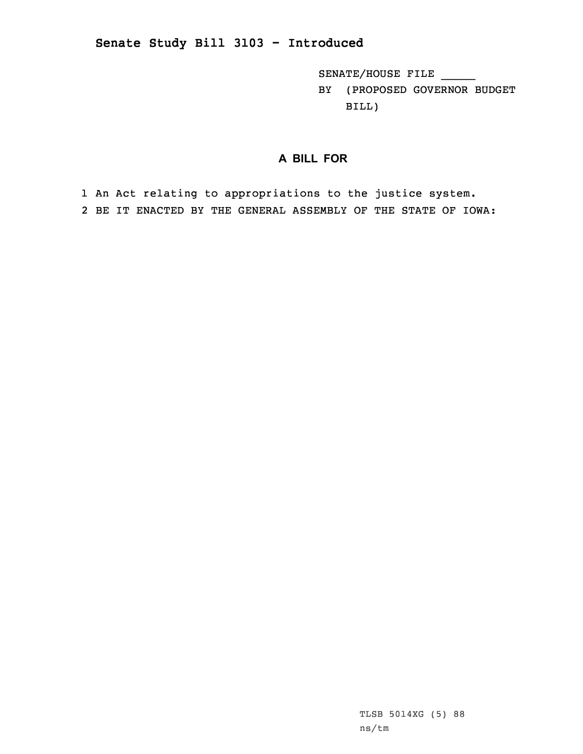SENATE/HOUSE FILE \_\_\_\_\_

BY (PROPOSED GOVERNOR BUDGET BILL)

## **A BILL FOR**

1 An Act relating to appropriations to the justice system. 2 BE IT ENACTED BY THE GENERAL ASSEMBLY OF THE STATE OF IOWA: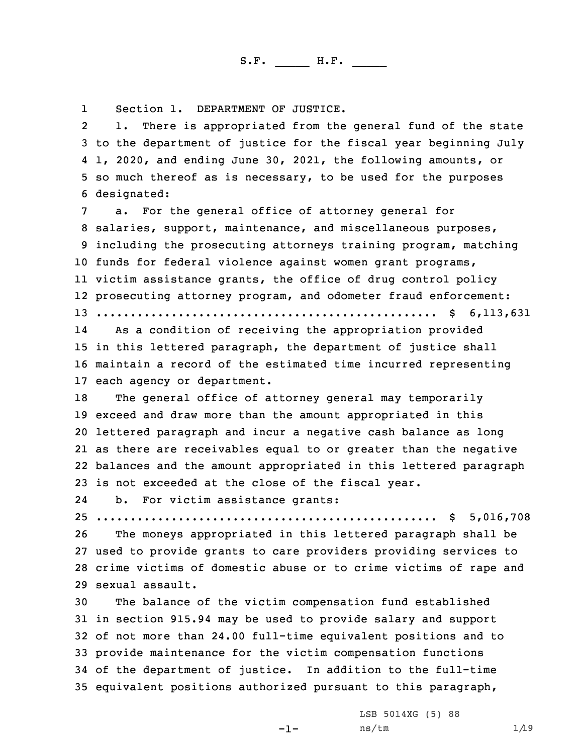1Section 1. DEPARTMENT OF JUSTICE.

2 1. There is appropriated from the general fund of the state to the department of justice for the fiscal year beginning July 1, 2020, and ending June 30, 2021, the following amounts, or so much thereof as is necessary, to be used for the purposes designated:

 a. For the general office of attorney general for salaries, support, maintenance, and miscellaneous purposes, including the prosecuting attorneys training program, matching funds for federal violence against women grant programs, victim assistance grants, the office of drug control policy prosecuting attorney program, and odometer fraud enforcement: .................................................. \$ 6,113,631

14 As <sup>a</sup> condition of receiving the appropriation provided 15 in this lettered paragraph, the department of justice shall 16 maintain <sup>a</sup> record of the estimated time incurred representing 17 each agency or department.

 The general office of attorney general may temporarily exceed and draw more than the amount appropriated in this lettered paragraph and incur <sup>a</sup> negative cash balance as long as there are receivables equal to or greater than the negative balances and the amount appropriated in this lettered paragraph is not exceeded at the close of the fiscal year.

24b. For victim assistance grants:

25 .................................................. \$ 5,016,708

 The moneys appropriated in this lettered paragraph shall be used to provide grants to care providers providing services to crime victims of domestic abuse or to crime victims of rape and sexual assault.

 The balance of the victim compensation fund established in section 915.94 may be used to provide salary and support of not more than 24.00 full-time equivalent positions and to provide maintenance for the victim compensation functions of the department of justice. In addition to the full-time equivalent positions authorized pursuant to this paragraph,

 $-1-$ 

LSB 5014XG (5) 88  $ns/tm$  1/19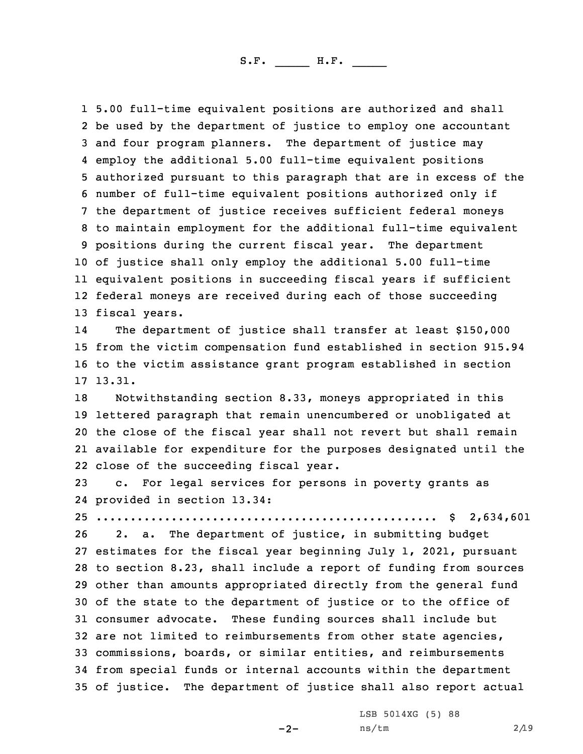5.00 full-time equivalent positions are authorized and shall be used by the department of justice to employ one accountant and four program planners. The department of justice may employ the additional 5.00 full-time equivalent positions authorized pursuant to this paragraph that are in excess of the number of full-time equivalent positions authorized only if the department of justice receives sufficient federal moneys to maintain employment for the additional full-time equivalent positions during the current fiscal year. The department of justice shall only employ the additional 5.00 full-time equivalent positions in succeeding fiscal years if sufficient federal moneys are received during each of those succeeding fiscal years.

14 The department of justice shall transfer at least \$150,000 15 from the victim compensation fund established in section 915.94 16 to the victim assistance grant program established in section 17 13.31.

 Notwithstanding section 8.33, moneys appropriated in this lettered paragraph that remain unencumbered or unobligated at the close of the fiscal year shall not revert but shall remain available for expenditure for the purposes designated until the close of the succeeding fiscal year.

23 c. For legal services for persons in poverty grants as 24 provided in section 13.34:

25 .................................................. \$ 2,634,601

 2. a. The department of justice, in submitting budget estimates for the fiscal year beginning July 1, 2021, pursuant to section 8.23, shall include <sup>a</sup> report of funding from sources other than amounts appropriated directly from the general fund of the state to the department of justice or to the office of consumer advocate. These funding sources shall include but are not limited to reimbursements from other state agencies, commissions, boards, or similar entities, and reimbursements from special funds or internal accounts within the department of justice. The department of justice shall also report actual

 $-2-$ 

LSB 5014XG (5) 88 ns/tm 2/19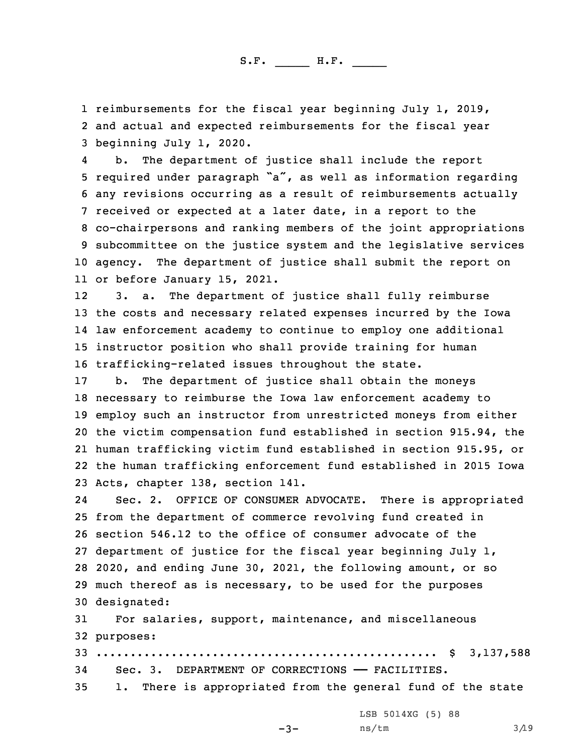1 reimbursements for the fiscal year beginning July 1, 2019, 2 and actual and expected reimbursements for the fiscal year 3 beginning July 1, 2020.

4 b. The department of justice shall include the report required under paragraph "a", as well as information regarding any revisions occurring as <sup>a</sup> result of reimbursements actually received or expected at <sup>a</sup> later date, in <sup>a</sup> report to the co-chairpersons and ranking members of the joint appropriations subcommittee on the justice system and the legislative services agency. The department of justice shall submit the report on or before January 15, 2021.

12 3. a. The department of justice shall fully reimburse the costs and necessary related expenses incurred by the Iowa law enforcement academy to continue to employ one additional instructor position who shall provide training for human trafficking-related issues throughout the state.

 b. The department of justice shall obtain the moneys necessary to reimburse the Iowa law enforcement academy to employ such an instructor from unrestricted moneys from either the victim compensation fund established in section 915.94, the human trafficking victim fund established in section 915.95, or the human trafficking enforcement fund established in 2015 Iowa Acts, chapter 138, section 141.

24 Sec. 2. OFFICE OF CONSUMER ADVOCATE. There is appropriated from the department of commerce revolving fund created in section 546.12 to the office of consumer advocate of the department of justice for the fiscal year beginning July 1, 2020, and ending June 30, 2021, the following amount, or so much thereof as is necessary, to be used for the purposes designated:

31 For salaries, support, maintenance, and miscellaneous 32 purposes:

33 .................................................. \$ 3,137,588 34 Sec. 3. DEPARTMENT OF CORRECTIONS —— FACILITIES. 35 1. There is appropriated from the general fund of the state

LSB 5014XG (5) 88

 $-3-$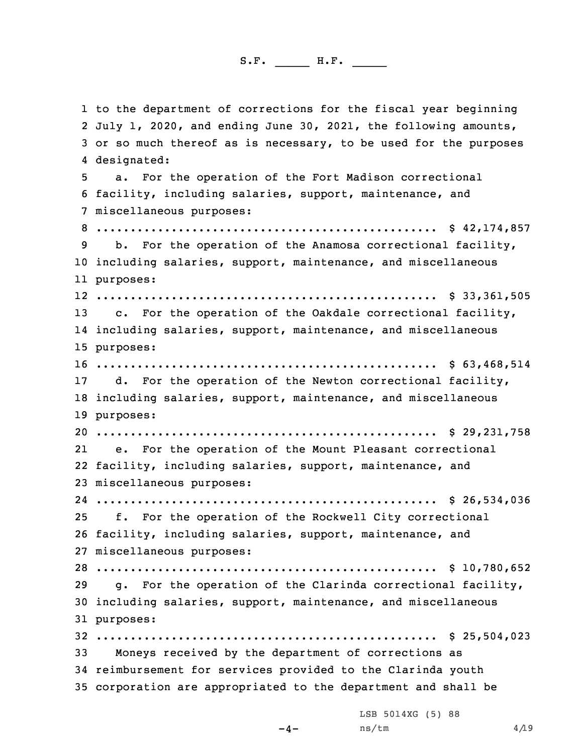to the department of corrections for the fiscal year beginning July 1, 2020, and ending June 30, 2021, the following amounts, or so much thereof as is necessary, to be used for the purposes designated: a. For the operation of the Fort Madison correctional facility, including salaries, support, maintenance, and miscellaneous purposes: .................................................. \$ 42,174,857 b. For the operation of the Anamosa correctional facility, including salaries, support, maintenance, and miscellaneous purposes: .................................................. \$ 33,361,505 13 c. For the operation of the Oakdale correctional facility, including salaries, support, maintenance, and miscellaneous purposes: .................................................. \$ 63,468,514 d. For the operation of the Newton correctional facility, including salaries, support, maintenance, and miscellaneous purposes: .................................................. \$ 29,231,758 21 e. For the operation of the Mount Pleasant correctional facility, including salaries, support, maintenance, and miscellaneous purposes: .................................................. \$ 26,534,036 f. For the operation of the Rockwell City correctional facility, including salaries, support, maintenance, and miscellaneous purposes: .................................................. \$ 10,780,652 g. For the operation of the Clarinda correctional facility, including salaries, support, maintenance, and miscellaneous purposes: .................................................. \$ 25,504,023 Moneys received by the department of corrections as reimbursement for services provided to the Clarinda youth corporation are appropriated to the department and shall be

LSB 5014XG (5) 88

 $-4-$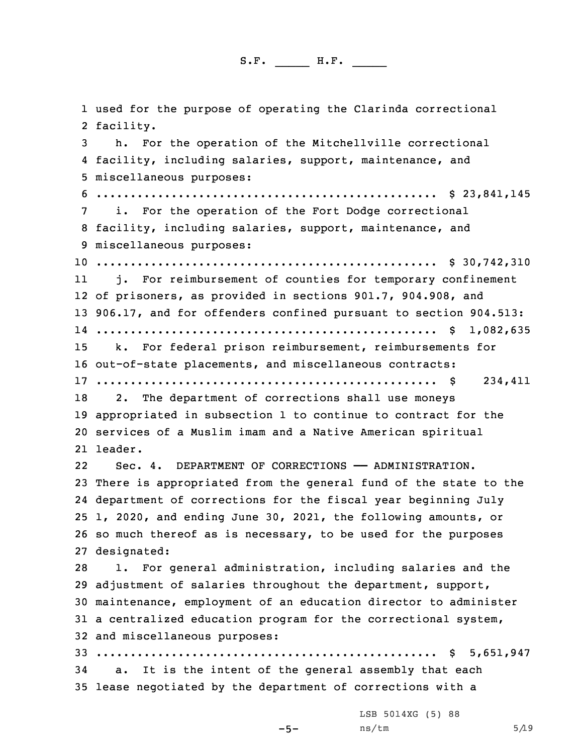used for the purpose of operating the Clarinda correctional facility. h. For the operation of the Mitchellville correctional facility, including salaries, support, maintenance, and miscellaneous purposes: .................................................. \$ 23,841,145 i. For the operation of the Fort Dodge correctional facility, including salaries, support, maintenance, and miscellaneous purposes: .................................................. \$ 30,742,310 11 j. For reimbursement of counties for temporary confinement of prisoners, as provided in sections 901.7, 904.908, and 906.17, and for offenders confined pursuant to section 904.513: .................................................. \$ 1,082,635 k. For federal prison reimbursement, reimbursements for out-of-state placements, and miscellaneous contracts: .................................................. \$ 234,411 18 2. The department of corrections shall use moneys appropriated in subsection 1 to continue to contract for the services of <sup>a</sup> Muslim imam and <sup>a</sup> Native American spiritual 21 leader. 22 Sec. 4. DEPARTMENT OF CORRECTIONS —— ADMINISTRATION. There is appropriated from the general fund of the state to the department of corrections for the fiscal year beginning July 1, 2020, and ending June 30, 2021, the following amounts, or so much thereof as is necessary, to be used for the purposes designated: 1. For general administration, including salaries and the adjustment of salaries throughout the department, support, maintenance, employment of an education director to administer <sup>a</sup> centralized education program for the correctional system, and miscellaneous purposes: .................................................. \$ 5,651,947 a. It is the intent of the general assembly that each lease negotiated by the department of corrections with <sup>a</sup> LSB 5014XG (5) 88

-5-

 $ns/tm$  5/19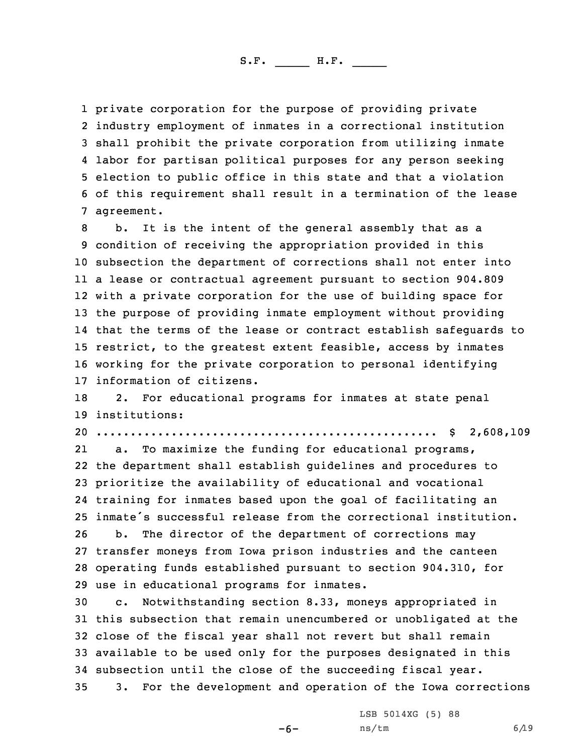private corporation for the purpose of providing private industry employment of inmates in <sup>a</sup> correctional institution shall prohibit the private corporation from utilizing inmate labor for partisan political purposes for any person seeking election to public office in this state and that <sup>a</sup> violation of this requirement shall result in <sup>a</sup> termination of the lease agreement.

 b. It is the intent of the general assembly that as <sup>a</sup> condition of receiving the appropriation provided in this subsection the department of corrections shall not enter into <sup>a</sup> lease or contractual agreement pursuant to section 904.809 with <sup>a</sup> private corporation for the use of building space for the purpose of providing inmate employment without providing that the terms of the lease or contract establish safeguards to restrict, to the greatest extent feasible, access by inmates working for the private corporation to personal identifying information of citizens.

18 2. For educational programs for inmates at state penal 19 institutions:

20 .................................................. \$ 2,608,109

21 a. To maximize the funding for educational programs, the department shall establish guidelines and procedures to prioritize the availability of educational and vocational training for inmates based upon the goal of facilitating an inmate's successful release from the correctional institution. b. The director of the department of corrections may transfer moneys from Iowa prison industries and the canteen operating funds established pursuant to section 904.310, for

29 use in educational programs for inmates.

 c. Notwithstanding section 8.33, moneys appropriated in this subsection that remain unencumbered or unobligated at the close of the fiscal year shall not revert but shall remain available to be used only for the purposes designated in this subsection until the close of the succeeding fiscal year. 3. For the development and operation of the Iowa corrections

-6-

LSB 5014XG (5) 88  $ns/tm$  6/19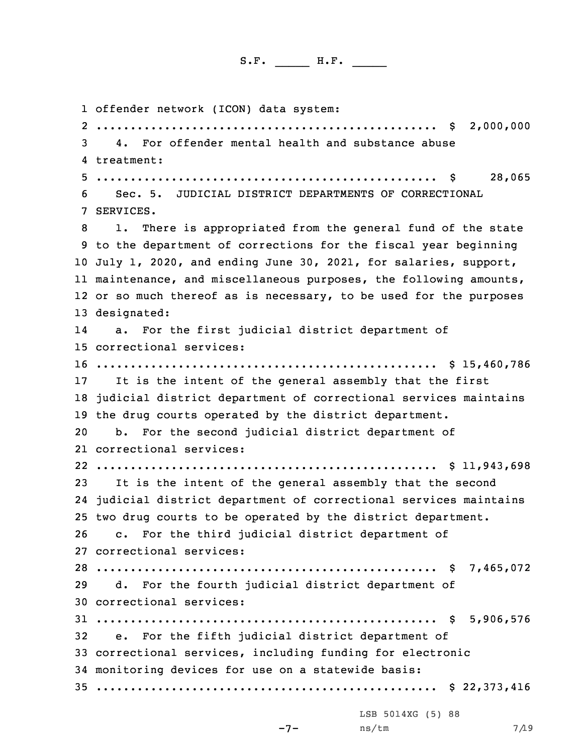offender network (ICON) data system: .................................................. \$ 2,000,000 4. For offender mental health and substance abuse treatment: .................................................. \$ 28,065 Sec. 5. JUDICIAL DISTRICT DEPARTMENTS OF CORRECTIONAL SERVICES. 1. There is appropriated from the general fund of the state to the department of corrections for the fiscal year beginning July 1, 2020, and ending June 30, 2021, for salaries, support, maintenance, and miscellaneous purposes, the following amounts, or so much thereof as is necessary, to be used for the purposes designated: 14 a. For the first judicial district department of correctional services: .................................................. \$ 15,460,786 It is the intent of the general assembly that the first judicial district department of correctional services maintains the drug courts operated by the district department. b. For the second judicial district department of correctional services: .................................................. \$ 11,943,698 It is the intent of the general assembly that the second judicial district department of correctional services maintains two drug courts to be operated by the district department. c. For the third judicial district department of correctional services: .................................................. \$ 7,465,072 d. For the fourth judicial district department of correctional services: .................................................. \$ 5,906,576 e. For the fifth judicial district department of correctional services, including funding for electronic monitoring devices for use on <sup>a</sup> statewide basis: .................................................. \$ 22,373,416 LSB 5014XG (5) 88

```
-7-
```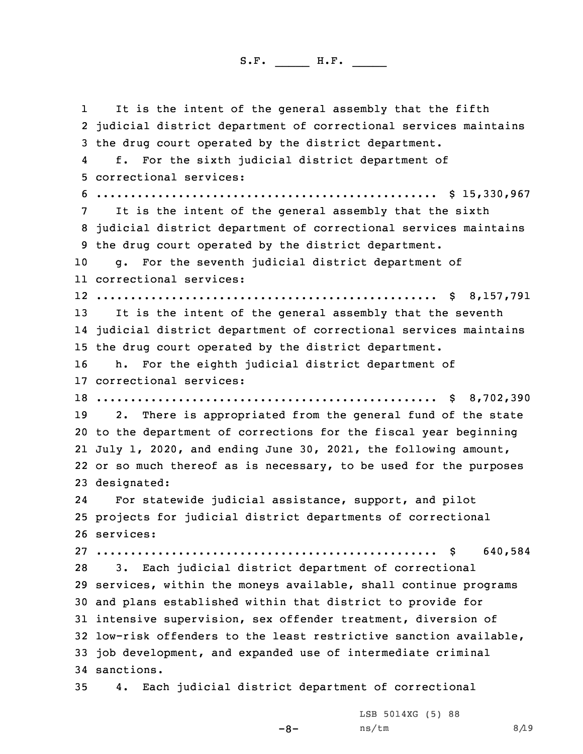1 It is the intent of the general assembly that the fifth judicial district department of correctional services maintains the drug court operated by the district department. 4 f. For the sixth judicial district department of correctional services: .................................................. \$ 15,330,967 It is the intent of the general assembly that the sixth judicial district department of correctional services maintains the drug court operated by the district department. g. For the seventh judicial district department of correctional services: .................................................. \$ 8,157,791 13 It is the intent of the general assembly that the seventh judicial district department of correctional services maintains the drug court operated by the district department. h. For the eighth judicial district department of correctional services: .................................................. \$ 8,702,390 2. There is appropriated from the general fund of the state to the department of corrections for the fiscal year beginning July 1, 2020, and ending June 30, 2021, the following amount, or so much thereof as is necessary, to be used for the purposes designated: 24 For statewide judicial assistance, support, and pilot projects for judicial district departments of correctional services: .................................................. \$ 640,584 3. Each judicial district department of correctional services, within the moneys available, shall continue programs and plans established within that district to provide for intensive supervision, sex offender treatment, diversion of low-risk offenders to the least restrictive sanction available, job development, and expanded use of intermediate criminal sanctions. 4. Each judicial district department of correctional

-8-

LSB 5014XG (5) 88  $ns/tm$  8/19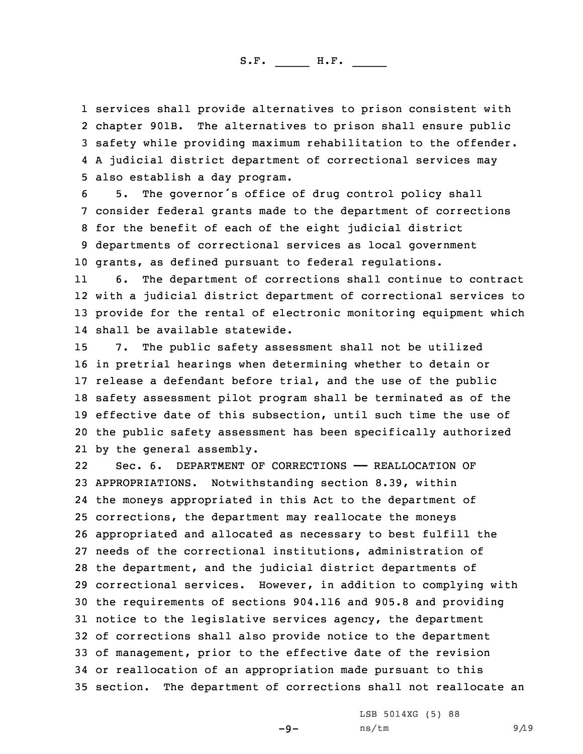services shall provide alternatives to prison consistent with 2 chapter 901B. The alternatives to prison shall ensure public safety while providing maximum rehabilitation to the offender. <sup>A</sup> judicial district department of correctional services may also establish <sup>a</sup> day program.

 5. The governor's office of drug control policy shall consider federal grants made to the department of corrections for the benefit of each of the eight judicial district departments of correctional services as local government grants, as defined pursuant to federal regulations.

11 6. The department of corrections shall continue to contract 12 with <sup>a</sup> judicial district department of correctional services to 13 provide for the rental of electronic monitoring equipment which 14 shall be available statewide.

 7. The public safety assessment shall not be utilized in pretrial hearings when determining whether to detain or release <sup>a</sup> defendant before trial, and the use of the public safety assessment pilot program shall be terminated as of the effective date of this subsection, until such time the use of the public safety assessment has been specifically authorized by the general assembly.

22 Sec. 6. DEPARTMENT OF CORRECTIONS —— REALLOCATION OF APPROPRIATIONS. Notwithstanding section 8.39, within the moneys appropriated in this Act to the department of corrections, the department may reallocate the moneys appropriated and allocated as necessary to best fulfill the needs of the correctional institutions, administration of the department, and the judicial district departments of correctional services. However, in addition to complying with the requirements of sections 904.116 and 905.8 and providing notice to the legislative services agency, the department of corrections shall also provide notice to the department of management, prior to the effective date of the revision or reallocation of an appropriation made pursuant to this section. The department of corrections shall not reallocate an

 $-9-$ 

LSB 5014XG (5) 88  $ns/tm$  9/19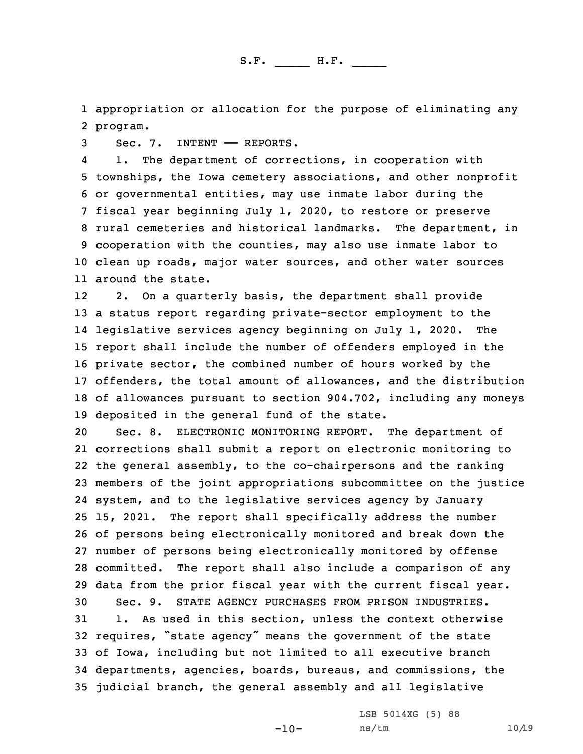1 appropriation or allocation for the purpose of eliminating any 2 program.

3 Sec. 7. INTENT —— REPORTS.

4 1. The department of corrections, in cooperation with townships, the Iowa cemetery associations, and other nonprofit or governmental entities, may use inmate labor during the fiscal year beginning July 1, 2020, to restore or preserve rural cemeteries and historical landmarks. The department, in cooperation with the counties, may also use inmate labor to clean up roads, major water sources, and other water sources around the state.

12 2. On <sup>a</sup> quarterly basis, the department shall provide <sup>a</sup> status report regarding private-sector employment to the legislative services agency beginning on July 1, 2020. The report shall include the number of offenders employed in the private sector, the combined number of hours worked by the offenders, the total amount of allowances, and the distribution of allowances pursuant to section 904.702, including any moneys deposited in the general fund of the state.

 Sec. 8. ELECTRONIC MONITORING REPORT. The department of corrections shall submit <sup>a</sup> report on electronic monitoring to the general assembly, to the co-chairpersons and the ranking members of the joint appropriations subcommittee on the justice system, and to the legislative services agency by January 15, 2021. The report shall specifically address the number of persons being electronically monitored and break down the number of persons being electronically monitored by offense committed. The report shall also include <sup>a</sup> comparison of any data from the prior fiscal year with the current fiscal year. Sec. 9. STATE AGENCY PURCHASES FROM PRISON INDUSTRIES. 1. As used in this section, unless the context otherwise requires, "state agency" means the government of the state of Iowa, including but not limited to all executive branch departments, agencies, boards, bureaus, and commissions, the judicial branch, the general assembly and all legislative

-10-

LSB 5014XG (5) 88 ns/tm 10/19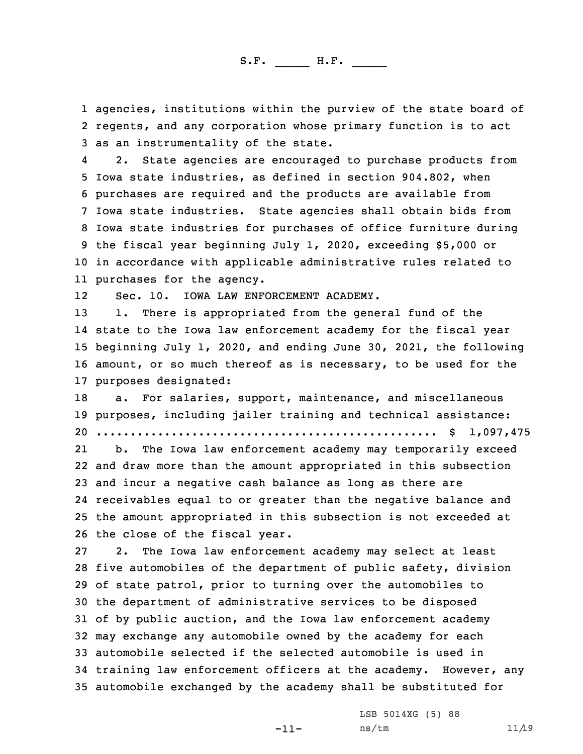1 agencies, institutions within the purview of the state board of 2 regents, and any corporation whose primary function is to act 3 as an instrumentality of the state.

4 2. State agencies are encouraged to purchase products from Iowa state industries, as defined in section 904.802, when purchases are required and the products are available from Iowa state industries. State agencies shall obtain bids from Iowa state industries for purchases of office furniture during the fiscal year beginning July 1, 2020, exceeding \$5,000 or in accordance with applicable administrative rules related to purchases for the agency.

12Sec. 10. IOWA LAW ENFORCEMENT ACADEMY.

 1. There is appropriated from the general fund of the state to the Iowa law enforcement academy for the fiscal year beginning July 1, 2020, and ending June 30, 2021, the following amount, or so much thereof as is necessary, to be used for the purposes designated:

18 a. For salaries, support, maintenance, and miscellaneous 19 purposes, including jailer training and technical assistance: 20 .................................................. \$ 1,097,475

21 b. The Iowa law enforcement academy may temporarily exceed and draw more than the amount appropriated in this subsection and incur <sup>a</sup> negative cash balance as long as there are receivables equal to or greater than the negative balance and the amount appropriated in this subsection is not exceeded at the close of the fiscal year.

 2. The Iowa law enforcement academy may select at least five automobiles of the department of public safety, division of state patrol, prior to turning over the automobiles to the department of administrative services to be disposed of by public auction, and the Iowa law enforcement academy may exchange any automobile owned by the academy for each automobile selected if the selected automobile is used in training law enforcement officers at the academy. However, any automobile exchanged by the academy shall be substituted for

-11-

LSB 5014XG (5) 88 ns/tm 11/19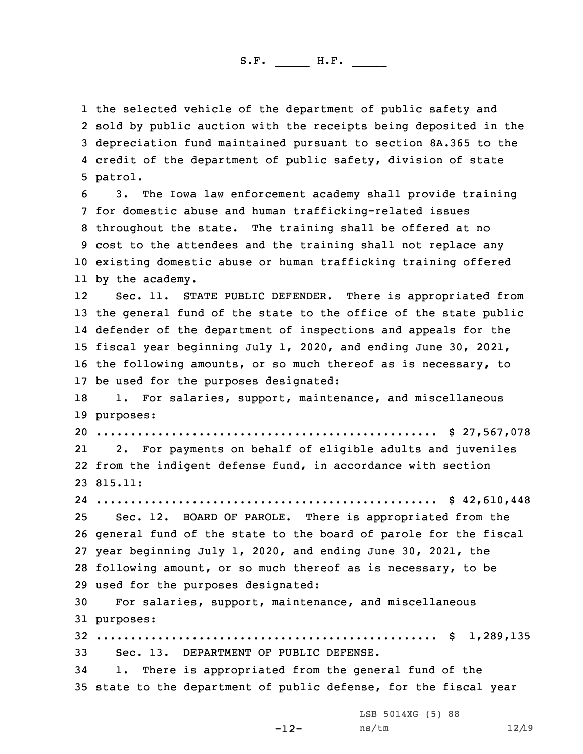the selected vehicle of the department of public safety and sold by public auction with the receipts being deposited in the depreciation fund maintained pursuant to section 8A.365 to the credit of the department of public safety, division of state 5 patrol.

 3. The Iowa law enforcement academy shall provide training for domestic abuse and human trafficking-related issues throughout the state. The training shall be offered at no cost to the attendees and the training shall not replace any existing domestic abuse or human trafficking training offered by the academy.

12 Sec. 11. STATE PUBLIC DEFENDER. There is appropriated from the general fund of the state to the office of the state public defender of the department of inspections and appeals for the fiscal year beginning July 1, 2020, and ending June 30, 2021, the following amounts, or so much thereof as is necessary, to be used for the purposes designated:

18 1. For salaries, support, maintenance, and miscellaneous 19 purposes:

20 .................................................. \$ 27,567,078

21 2. For payments on behalf of eligible adults and juveniles 22 from the indigent defense fund, in accordance with section 23 815.11:

 .................................................. \$ 42,610,448 Sec. 12. BOARD OF PAROLE. There is appropriated from the general fund of the state to the board of parole for the fiscal year beginning July 1, 2020, and ending June 30, 2021, the following amount, or so much thereof as is necessary, to be used for the purposes designated:

30 For salaries, support, maintenance, and miscellaneous 31 purposes:

32 .................................................. \$ 1,289,135 33 Sec. 13. DEPARTMENT OF PUBLIC DEFENSE.

34 1. There is appropriated from the general fund of the 35 state to the department of public defense, for the fiscal year

LSB 5014XG (5) 88

-12-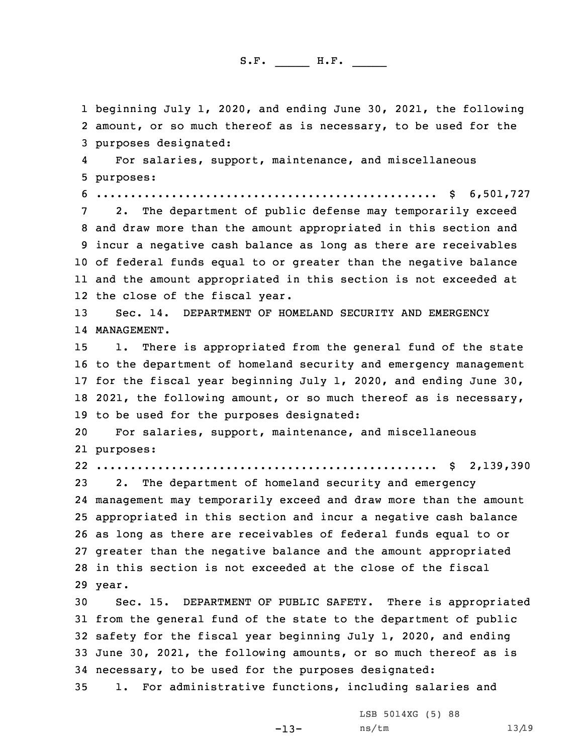1 beginning July 1, 2020, and ending June 30, 2021, the following 2 amount, or so much thereof as is necessary, to be used for the 3 purposes designated:

4 For salaries, support, maintenance, and miscellaneous 5 purposes:

6 .................................................. \$ 6,501,727

 2. The department of public defense may temporarily exceed and draw more than the amount appropriated in this section and incur <sup>a</sup> negative cash balance as long as there are receivables of federal funds equal to or greater than the negative balance and the amount appropriated in this section is not exceeded at the close of the fiscal year.

13 Sec. 14. DEPARTMENT OF HOMELAND SECURITY AND EMERGENCY 14 MANAGEMENT.

 1. There is appropriated from the general fund of the state to the department of homeland security and emergency management for the fiscal year beginning July 1, 2020, and ending June 30, 2021, the following amount, or so much thereof as is necessary, to be used for the purposes designated:

20 For salaries, support, maintenance, and miscellaneous 21 purposes:

22 .................................................. \$ 2,139,390

 2. The department of homeland security and emergency management may temporarily exceed and draw more than the amount appropriated in this section and incur <sup>a</sup> negative cash balance as long as there are receivables of federal funds equal to or greater than the negative balance and the amount appropriated in this section is not exceeded at the close of the fiscal 29 year.

 Sec. 15. DEPARTMENT OF PUBLIC SAFETY. There is appropriated from the general fund of the state to the department of public safety for the fiscal year beginning July 1, 2020, and ending June 30, 2021, the following amounts, or so much thereof as is necessary, to be used for the purposes designated: 1. For administrative functions, including salaries and

-13-

LSB 5014XG (5) 88 ns/tm 13/19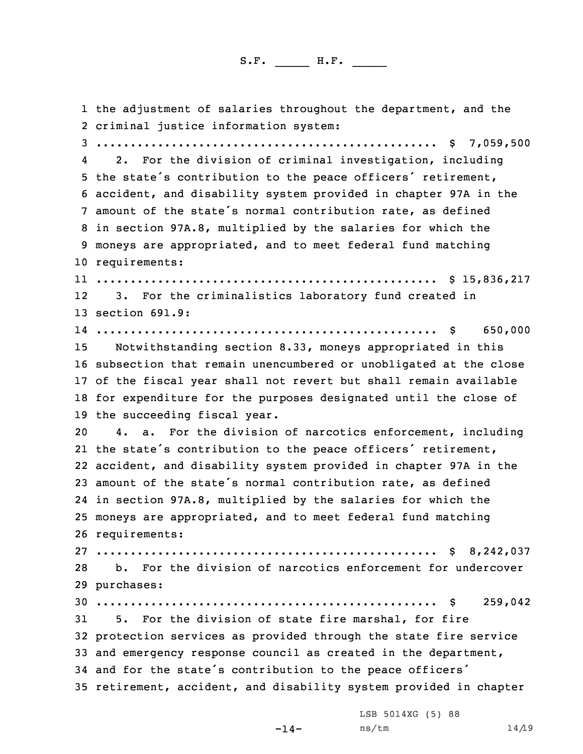1 the adjustment of salaries throughout the department, and the criminal justice information system: .................................................. \$ 7,059,500 4 2. For the division of criminal investigation, including the state's contribution to the peace officers' retirement, accident, and disability system provided in chapter 97A in the amount of the state's normal contribution rate, as defined in section 97A.8, multiplied by the salaries for which the moneys are appropriated, and to meet federal fund matching requirements: .................................................. \$ 15,836,217 12 3. For the criminalistics laboratory fund created in section 691.9: .................................................. \$ 650,000 Notwithstanding section 8.33, moneys appropriated in this subsection that remain unencumbered or unobligated at the close of the fiscal year shall not revert but shall remain available for expenditure for the purposes designated until the close of the succeeding fiscal year. 4. a. For the division of narcotics enforcement, including the state's contribution to the peace officers' retirement, accident, and disability system provided in chapter 97A in the amount of the state's normal contribution rate, as defined in section 97A.8, multiplied by the salaries for which the moneys are appropriated, and to meet federal fund matching requirements: .................................................. \$ 8,242,037 b. For the division of narcotics enforcement for undercover purchases: .................................................. \$ 259,042 5. For the division of state fire marshal, for fire protection services as provided through the state fire service and emergency response council as created in the department, and for the state's contribution to the peace officers' retirement, accident, and disability system provided in chapter

-14-

LSB 5014XG (5) 88 ns/tm 14/19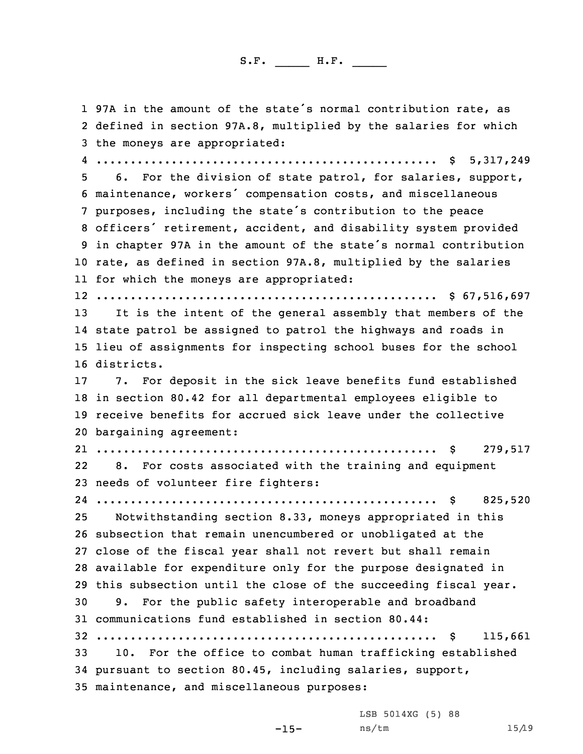1 97A in the amount of the state's normal contribution rate, as defined in section 97A.8, multiplied by the salaries for which the moneys are appropriated: .................................................. \$ 5,317,249 6. For the division of state patrol, for salaries, support, maintenance, workers' compensation costs, and miscellaneous purposes, including the state's contribution to the peace officers' retirement, accident, and disability system provided in chapter 97A in the amount of the state's normal contribution rate, as defined in section 97A.8, multiplied by the salaries for which the moneys are appropriated: .................................................. \$ 67,516,697 It is the intent of the general assembly that members of the state patrol be assigned to patrol the highways and roads in lieu of assignments for inspecting school buses for the school districts. 7. For deposit in the sick leave benefits fund established in section 80.42 for all departmental employees eligible to receive benefits for accrued sick leave under the collective bargaining agreement: .................................................. \$ 279,517 22 8. For costs associated with the training and equipment needs of volunteer fire fighters: .................................................. \$ 825,520 Notwithstanding section 8.33, moneys appropriated in this subsection that remain unencumbered or unobligated at the close of the fiscal year shall not revert but shall remain available for expenditure only for the purpose designated in this subsection until the close of the succeeding fiscal year. 9. For the public safety interoperable and broadband communications fund established in section 80.44: .................................................. \$ 115,661 10. For the office to combat human trafficking established pursuant to section 80.45, including salaries, support, maintenance, and miscellaneous purposes:

LSB 5014XG (5) 88

-15-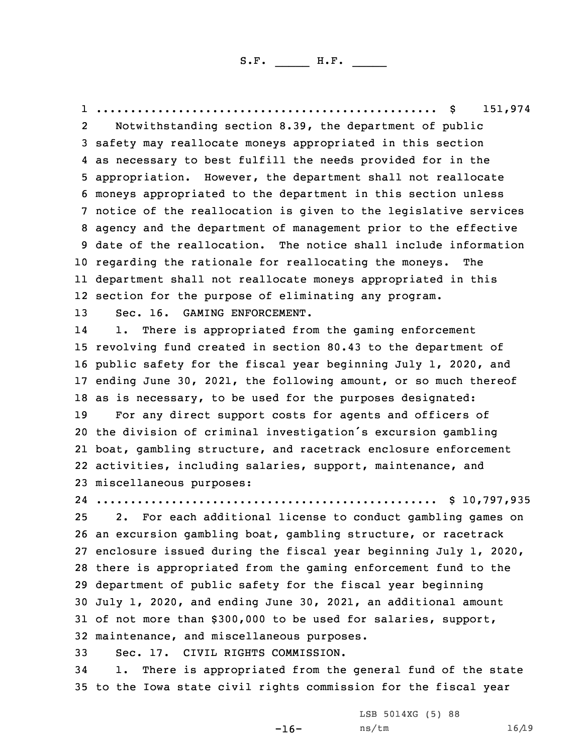1 .................................................. \$ 151,974 2 Notwithstanding section 8.39, the department of public safety may reallocate moneys appropriated in this section as necessary to best fulfill the needs provided for in the appropriation. However, the department shall not reallocate moneys appropriated to the department in this section unless notice of the reallocation is given to the legislative services agency and the department of management prior to the effective date of the reallocation. The notice shall include information regarding the rationale for reallocating the moneys. The department shall not reallocate moneys appropriated in this section for the purpose of eliminating any program. Sec. 16. GAMING ENFORCEMENT. 14 1. There is appropriated from the gaming enforcement revolving fund created in section 80.43 to the department of public safety for the fiscal year beginning July 1, 2020, and ending June 30, 2021, the following amount, or so much thereof as is necessary, to be used for the purposes designated: For any direct support costs for agents and officers of the division of criminal investigation's excursion gambling boat, gambling structure, and racetrack enclosure enforcement activities, including salaries, support, maintenance, and miscellaneous purposes: .................................................. \$ 10,797,935 2. For each additional license to conduct gambling games on an excursion gambling boat, gambling structure, or racetrack enclosure issued during the fiscal year beginning July 1, 2020, there is appropriated from the gaming enforcement fund to the department of public safety for the fiscal year beginning July 1, 2020, and ending June 30, 2021, an additional amount of not more than \$300,000 to be used for salaries, support, maintenance, and miscellaneous purposes.

33 Sec. 17. CIVIL RIGHTS COMMISSION.

34 1. There is appropriated from the general fund of the state 35 to the Iowa state civil rights commission for the fiscal year

-16-

LSB 5014XG (5) 88 ns/tm 16/19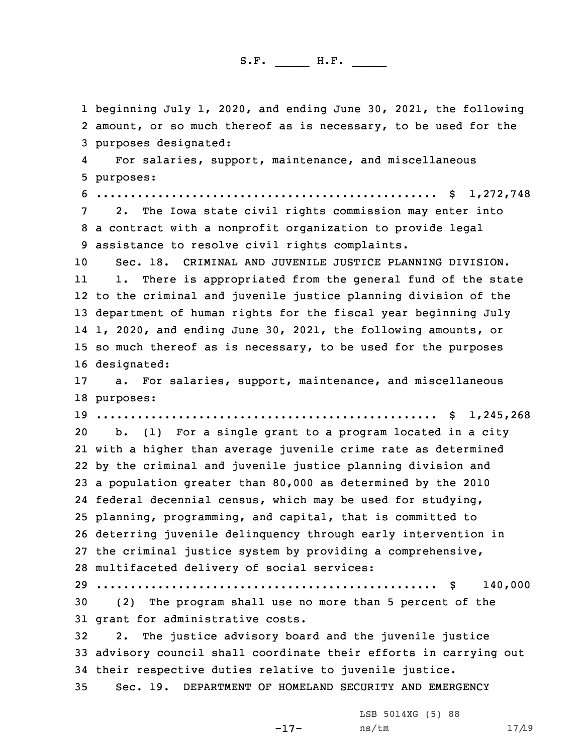beginning July 1, 2020, and ending June 30, 2021, the following amount, or so much thereof as is necessary, to be used for the purposes designated: 4 For salaries, support, maintenance, and miscellaneous purposes: .................................................. \$ 1,272,748 2. The Iowa state civil rights commission may enter into <sup>a</sup> contract with <sup>a</sup> nonprofit organization to provide legal assistance to resolve civil rights complaints. Sec. 18. CRIMINAL AND JUVENILE JUSTICE PLANNING DIVISION. 11 1. There is appropriated from the general fund of the state to the criminal and juvenile justice planning division of the department of human rights for the fiscal year beginning July 1, 2020, and ending June 30, 2021, the following amounts, or so much thereof as is necessary, to be used for the purposes designated: a. For salaries, support, maintenance, and miscellaneous purposes: .................................................. \$ 1,245,268 b. (1) For <sup>a</sup> single grant to <sup>a</sup> program located in <sup>a</sup> city with <sup>a</sup> higher than average juvenile crime rate as determined by the criminal and juvenile justice planning division and <sup>a</sup> population greater than 80,000 as determined by the 2010 federal decennial census, which may be used for studying, planning, programming, and capital, that is committed to deterring juvenile delinquency through early intervention in the criminal justice system by providing <sup>a</sup> comprehensive, multifaceted delivery of social services: .................................................. \$ 140,000 (2) The program shall use no more than 5 percent of the grant for administrative costs. 2. The justice advisory board and the juvenile justice advisory council shall coordinate their efforts in carrying out their respective duties relative to juvenile justice. Sec. 19. DEPARTMENT OF HOMELAND SECURITY AND EMERGENCY

-17-

LSB 5014XG (5) 88 ns/tm 17/19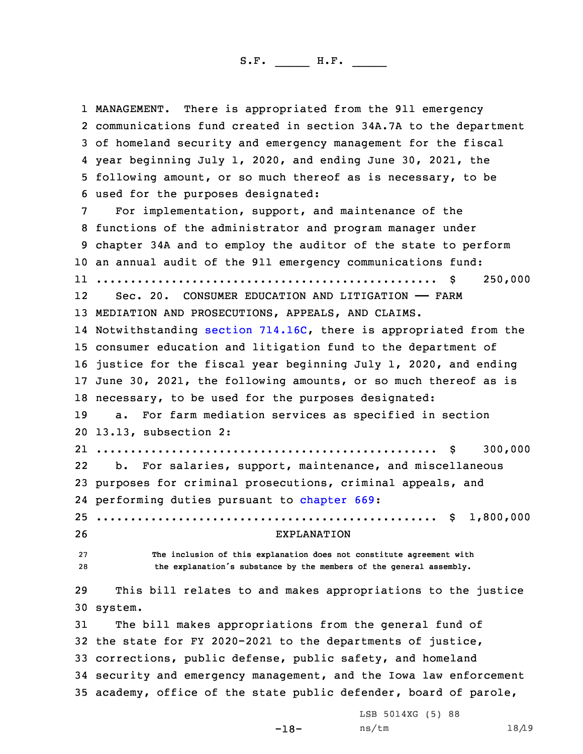1 MANAGEMENT. There is appropriated from the 911 emergency communications fund created in section 34A.7A to the department of homeland security and emergency management for the fiscal year beginning July 1, 2020, and ending June 30, 2021, the following amount, or so much thereof as is necessary, to be used for the purposes designated: For implementation, support, and maintenance of the functions of the administrator and program manager under chapter 34A and to employ the auditor of the state to perform an annual audit of the 911 emergency communications fund: .................................................. \$ 250,000 12Sec. 20. CONSUMER EDUCATION AND LITIGATION - FARM MEDIATION AND PROSECUTIONS, APPEALS, AND CLAIMS. Notwithstanding section [714.16C](https://www.legis.iowa.gov/docs/code/2020/714.16C.pdf), there is appropriated from the consumer education and litigation fund to the department of justice for the fiscal year beginning July 1, 2020, and ending June 30, 2021, the following amounts, or so much thereof as is necessary, to be used for the purposes designated: a. For farm mediation services as specified in section 13.13, subsection 2: .................................................. \$ 300,000 22 b. For salaries, support, maintenance, and miscellaneous purposes for criminal prosecutions, criminal appeals, and performing duties pursuant to [chapter](https://www.legis.iowa.gov/docs/code/2020/669.pdf) 669: .................................................. \$ 1,800,000 EXPLANATION **The inclusion of this explanation does not constitute agreement with the explanation's substance by the members of the general assembly.** This bill relates to and makes appropriations to the justice 30 system. The bill makes appropriations from the general fund of the state for FY 2020-2021 to the departments of justice, corrections, public defense, public safety, and homeland security and emergency management, and the Iowa law enforcement academy, office of the state public defender, board of parole, LSB 5014XG (5) 88

ns/tm 18/19

-18-